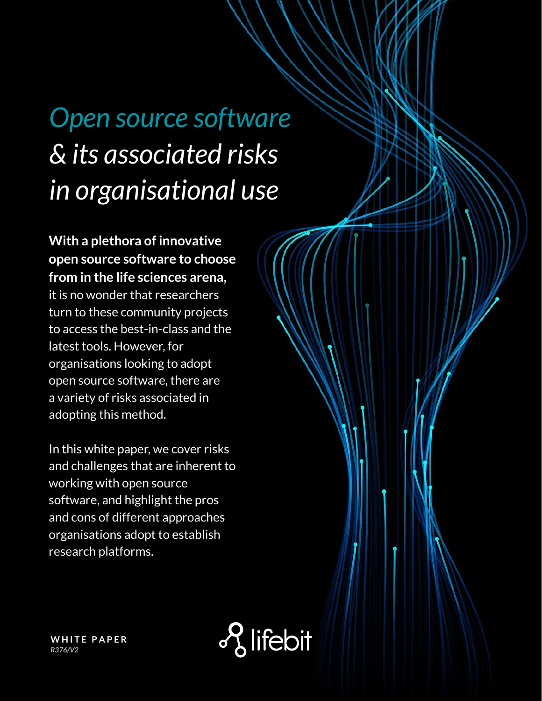# *Open source software & its associated risks in organisational use*

**With a plethora of innovative open source software to choose from in the life sciences arena,** it is no wonder that researchers turn to these community projects to access the best-in-class and the latest tools. However, for organisations looking to adopt open source software, there are a variety of risks associated in adopting this method.

In this white paper, we cover risks and challenges that are inherent to working with open source software, and highlight the pros and cons of different approaches organisations adopt to establish research platforms.



**WHITE PAPER** *R376/V2*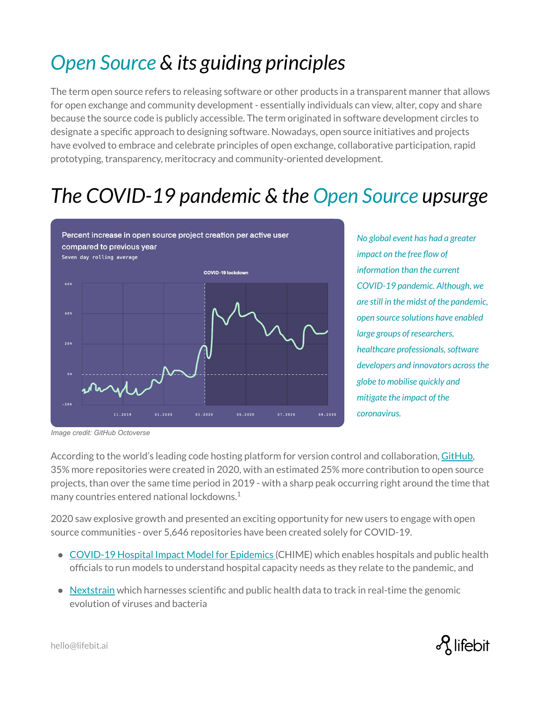# *Open Source & its guiding principles*

The term open source refers to releasing software or other products in a transparent manner that allows for open exchange and community development - essentially individuals can view, alter, copy and share because the source code is publicly accessible. The term originated in software development circles to designate a specific approach to designing software. Nowadays, open source initiatives and projects have evolved to embrace and celebrate principles of open exchange, collaborative participation, rapid prototyping, transparency, meritocracy and community-oriented development.

### *The COVID-19 pandemic & the Open Source upsurge*



*No global event has had a greater impact on the free flow of information than the current COVID-19 pandemic. Although, we are still in the midst of the pandemic, open source solutions have enabled large groups of researchers, healthcare professionals, software developers and innovators across the globe to mobilise quickly and mitigate the impact of the coronavirus.* 

*Image credit: GitHub Octoverse*

According to the world's leading code hosting platform for version control and collaboration, [GitHub](https://github.com/), 35% more repositories were created in 2020, with an estimated 25% more contribution to open source projects, than over the same time period in 2019 - with a sharp peak occurring right around the time that many countries entered national lockdowns. $1$ 

2020 saw explosive growth and presented an exciting opportunity for new users to engage with open source communities - over 5,646 repositories have been created solely for COVID-19.

- [COVID-19 Hospital Impact Model for Epidemics](https://github.com/CodeForPhilly/chime) (CHIME) which enables hospitals and public health officials to run models to understand hospital capacity needs as they relate to the pandemic, and
- $\bullet$  [Nextstrain](https://nextstrain.org/) which harnesses scientific and public health data to track in real-time the genomic evolution of viruses and bacteria

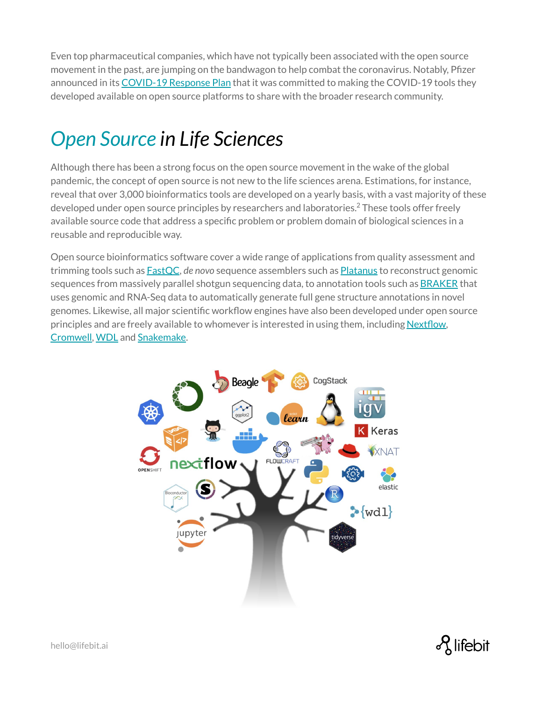Even top pharmaceutical companies, which have not typically been associated with the open source movement in the past, are jumping on the bandwagon to help combat the coronavirus. Notably, Pfizer announced in its [COVID-19 Response Plan](https://investors.pfizer.com/investor-news/press-release-details/2020/Pfizer-Outlines-Five-Point-Plan-to-Battle-COVID-19/default.aspx) that it was committed to making the COVID-19 tools they developed available on open source platforms to share with the broader research community.

### *Open Source in Life Sciences*

Although there has been a strong focus on the open source movement in the wake of the global pandemic, the concept of open source is not new to the life sciences arena. Estimations, for instance, reveal that over 3,000 bioinformatics tools are developed on a yearly basis, with a vast majority of these developed under open source principles by researchers and laboratories.<sup>2</sup> These tools offer freely available source code that address a specific problem or problem domain of biological sciences in a reusable and reproducible way.

Open source bioinformatics software cover a wide range of applications from quality assessment and trimming tools such as [FastQC,](https://www.bioinformatics.babraham.ac.uk/projects/fastqc/) *de novo* sequence assemblers such as [Platanus](http://platanus.bio.titech.ac.jp/platanus-assembler) to reconstruct genomic sequences from massively parallel shotgun sequencing data, to annotation tools such as [BRAKER](https://github.com/Gaius-Augustus/BRAKER) that uses genomic and RNA-Seq data to automatically generate full gene structure annotations in novel genomes. Likewise, all major scientific workflow engines have also been developed under open source principles and are freely available to whomever is interested in using them, including [Nextflow](https://www.nextflow.io/), [Cromwell](https://cromwell.readthedocs.io/en/stable/), [WDL](https://github.com/openwdl/wdl) and [Snakemake](https://snakemake.github.io/).



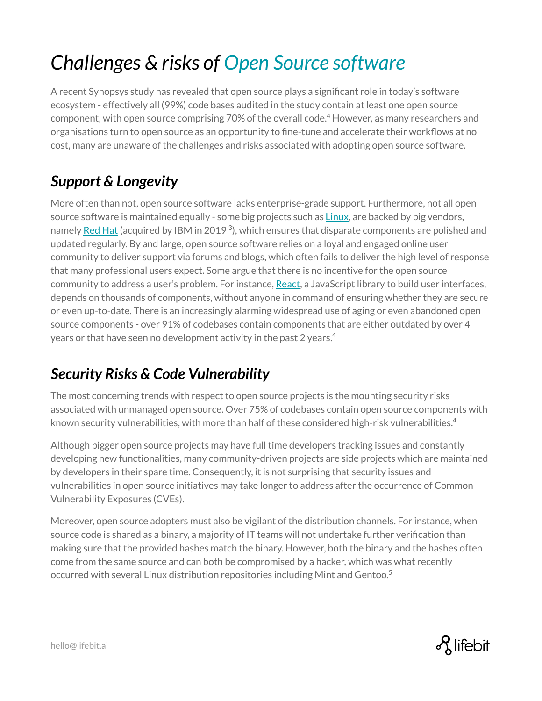# *Challenges & risks of Open Source software*

A recent Synopsys study has revealed that open source plays a significant role in today's software ecosystem - effectively all (99%) code bases audited in the study contain at least one open source component, with open source comprising 70% of the overall code. $^4$  However, as many researchers and organisations turn to open source as an opportunity to fine-tune and accelerate their workflows at no cost, many are unaware of the challenges and risks associated with adopting open source software.

#### *Support & Longevity*

More often than not, open source software lacks enterprise-grade support. Furthermore, not all open source software is maintained equally - some big projects such as [Linux](https://www.linux.org/), are backed by big vendors, namely [Red Hat](https://www.redhat.com/en) (acquired by IBM in 2019<sup>3</sup>), which ensures that disparate components are polished and updated regularly. By and large, open source software relies on a loyal and engaged online user community to deliver support via forums and blogs, which often fails to deliver the high level of response that many professional users expect. Some argue that there is no incentive for the open source community to address a user's problem. For instance, [React](https://reactjs.org/), a JavaScript library to build user interfaces, depends on thousands of components, without anyone in command of ensuring whether they are secure or even up-to-date. There is an increasingly alarming widespread use of aging or even abandoned open source components - over 91% of codebases contain components that are either outdated by over 4 years or that have seen no development activity in the past 2 years. $4$ 

#### *Security Risks & Code Vulnerability*

The most concerning trends with respect to open source projects is the mounting security risks associated with unmanaged open source. Over 75% of codebases contain open source components with known security vulnerabilities, with more than half of these considered high-risk vulnerabilities.<sup>4</sup>

Although bigger open source projects may have full time developers tracking issues and constantly developing new functionalities, many community-driven projects are side projects which are maintained by developers in their spare time. Consequently, it is not surprising that security issues and vulnerabilities in open source initiatives may take longer to address after the occurrence of Common Vulnerability Exposures (CVEs).

Moreover, open source adopters must also be vigilant of the distribution channels. For instance, when source code is shared as a binary, a majority of IT teams will not undertake further verification than making sure that the provided hashes match the binary. However, both the binary and the hashes often come from the same source and can both be compromised by a hacker, which was what recently occurred with several Linux distribution repositories including Mint and Gentoo.<sup>5</sup>

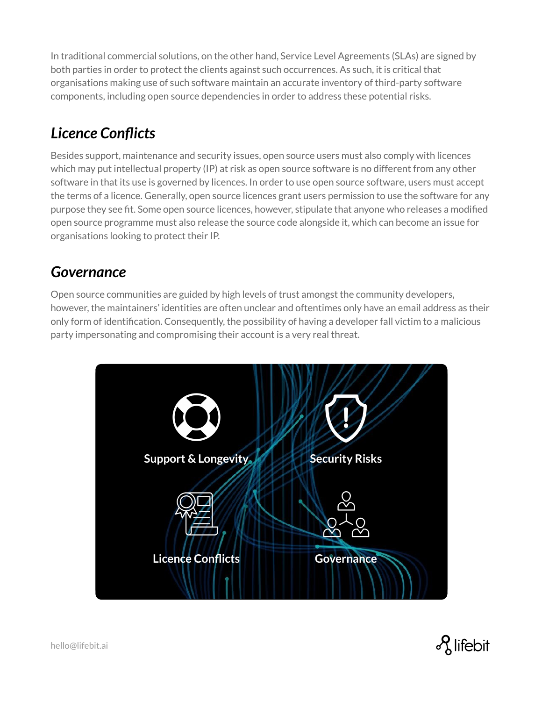In traditional commercial solutions, on the other hand, Service Level Agreements (SLAs) are signed by both parties in order to protect the clients against such occurrences. As such, it is critical that organisations making use of such software maintain an accurate inventory of third-party software components, including open source dependencies in order to address these potential risks.

#### *Licence Conflicts*

Besides support, maintenance and security issues, open source users must also comply with licences which may put intellectual property (IP) at risk as open source software is no different from any other software in that its use is governed by licences. In order to use open source software, users must accept the terms of a licence. Generally, open source licences grant users permission to use the software for any purpose they see fit. Some open source licences, however, stipulate that anyone who releases a modified open source programme must also release the source code alongside it, which can become an issue for organisations looking to protect their IP.

#### *Governance*

Open source communities are guided by high levels of trust amongst the community developers, however, the maintainers' identities are often unclear and oftentimes only have an email address as their only form of identification. Consequently, the possibility of having a developer fall victim to a malicious party impersonating and compromising their account is a very real threat.



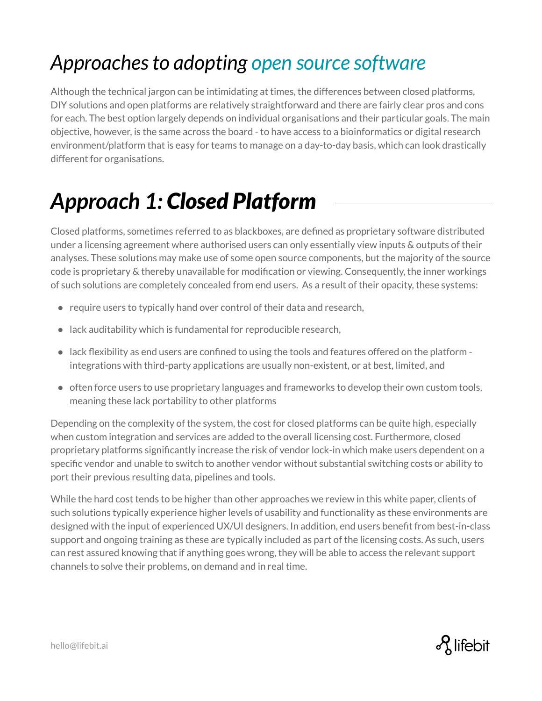# *Approaches to adopting open source software*

Although the technical jargon can be intimidating at times, the differences between closed platforms, DIY solutions and open platforms are relatively straightforward and there are fairly clear pros and cons for each. The best option largely depends on individual organisations and their particular goals. The main objective, however, is the same across the board - to have access to a bioinformatics or digital research environment/platform that is easy for teams to manage on a day-to-day basis, which can look drastically different for organisations.

# *Approach 1: Closed Platform*

Closed platforms, sometimes referred to as blackboxes, are defined as proprietary software distributed under a licensing agreement where authorised users can only essentially view inputs & outputs of their analyses. These solutions may make use of some open source components, but the majority of the source code is proprietary & thereby unavailable for modification or viewing. Consequently, the inner workings of such solutions are completely concealed from end users. As a result of their opacity, these systems:

- require users to typically hand over control of their data and research,
- lack auditability which is fundamental for reproducible research,
- $\bullet$  lack flexibility as end users are confined to using the tools and features offered on the platform integrations with third-party applications are usually non-existent, or at best, limited, and
- often force users to use proprietary languages and frameworks to develop their own custom tools, meaning these lack portability to other platforms

Depending on the complexity of the system, the cost for closed platforms can be quite high, especially when custom integration and services are added to the overall licensing cost. Furthermore, closed proprietary platforms significantly increase the risk of vendor lock-in which make users dependent on a specific vendor and unable to switch to another vendor without substantial switching costs or ability to port their previous resulting data, pipelines and tools.

While the hard cost tends to be higher than other approaches we review in this white paper, clients of such solutions typically experience higher levels of usability and functionality as these environments are designed with the input of experienced UX/UI designers. In addition, end users benefit from best-in-class support and ongoing training as these are typically included as part of the licensing costs. As such, users can rest assured knowing that if anything goes wrong, they will be able to access the relevant support channels to solve their problems, on demand and in real time.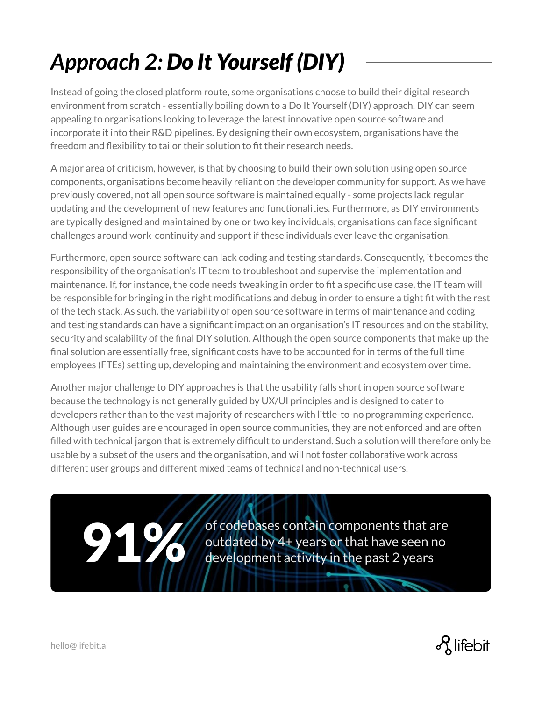# *Approach 2: Do It Yourself (DIY)*

Instead of going the closed platform route, some organisations choose to build their digital research environment from scratch - essentially boiling down to a Do It Yourself (DIY) approach. DIY can seem appealing to organisations looking to leverage the latest innovative open source software and incorporate it into their R&D pipelines. By designing their own ecosystem, organisations have the freedom and flexibility to tailor their solution to fit their research needs.

A major area of criticism, however, is that by choosing to build their own solution using open source components, organisations become heavily reliant on the developer community for support. As we have previously covered, not all open source software is maintained equally - some projects lack regular updating and the development of new features and functionalities. Furthermore, as DIY environments are typically designed and maintained by one or two key individuals, organisations can face significant challenges around work-continuity and support if these individuals ever leave the organisation.

Furthermore, open source software can lack coding and testing standards. Consequently, it becomes the responsibility of the organisation's IT team to troubleshoot and supervise the implementation and maintenance. If, for instance, the code needs tweaking in order to fit a specific use case, the IT team will be responsible for bringing in the right modifications and debug in order to ensure a tight fit with the rest of the tech stack. As such, the variability of open source software in terms of maintenance and coding and testing standards can have a significant impact on an organisation's IT resources and on the stability, security and scalability of the final DIY solution. Although the open source components that make up the final solution are essentially free, significant costs have to be accounted for in terms of the full time employees (FTEs) setting up, developing and maintaining the environment and ecosystem over time.

Another major challenge to DIY approaches is that the usability falls short in open source software because the technology is not generally guided by UX/UI principles and is designed to cater to developers rather than to the vast majority of researchers with little-to-no programming experience. Although user guides are encouraged in open source communities, they are not enforced and are often filled with technical jargon that is extremely difficult to understand. Such a solution will therefore only be usable by a subset of the users and the organisation, and will not foster collaborative work across different user groups and different mixed teams of technical and non-technical users.

> of codebases contain components that are outdated by 4+ years or that have seen no<br>development activity in the past 2 years

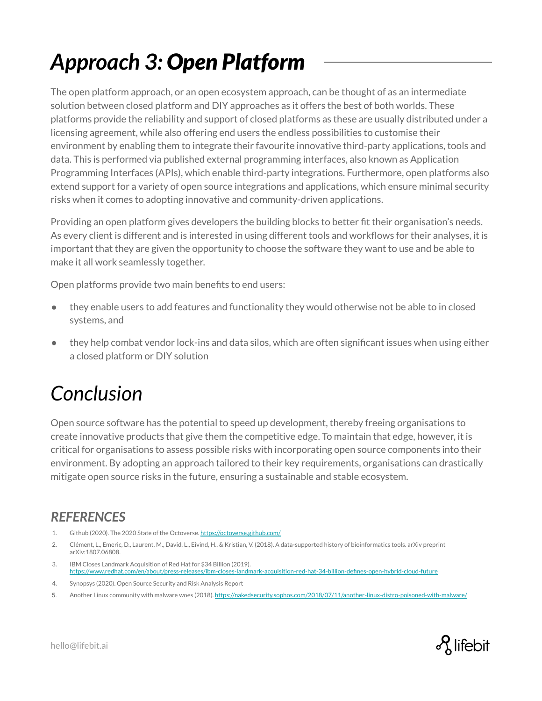# *Approach 3: Open Platform*

The open platform approach, or an open ecosystem approach, can be thought of as an intermediate solution between closed platform and DIY approaches as it offers the best of both worlds. These platforms provide the reliability and support of closed platforms as these are usually distributed under a licensing agreement, while also offering end users the endless possibilities to customise their environment by enabling them to integrate their favourite innovative third-party applications, tools and data. This is performed via published external programming interfaces, also known as Application Programming Interfaces (APIs), which enable third-party integrations. Furthermore, open platforms also extend support for a variety of open source integrations and applications, which ensure minimal security risks when it comes to adopting innovative and community-driven applications.

Providing an open platform gives developers the building blocks to better fit their organisation's needs. As every client is different and is interested in using different tools and workflows for their analyses, it is important that they are given the opportunity to choose the software they want to use and be able to make it all work seamlessly together.

Open platforms provide two main benefits to end users:

- they enable users to add features and functionality they would otherwise not be able to in closed systems, and
- they help combat vendor lock-ins and data silos, which are often significant issues when using either a closed platform or DIY solution

### *Conclusion*

Open source software has the potential to speed up development, thereby freeing organisations to create innovative products that give them the competitive edge. To maintain that edge, however, it is critical for organisations to assess possible risks with incorporating open source components into their environment. By adopting an approach tailored to their key requirements, organisations can drastically mitigate open source risks in the future, ensuring a sustainable and stable ecosystem.

#### *REFERENCES*

- 1. Github (2020). The 2020 State of the Octoverse. <https://octoverse.github.com/>
- 2. Clément, L., Emeric, D., Laurent, M., David, L., Eivind, H., & Kristian, V. (2018). A data-supported history of bioinformatics tools. arXiv preprint arXiv:1807.06808.
- 3. IBM Closes Landmark Acquisition of Red Hat for \$34 Billion (2019). <https://www.redhat.com/en/about/press-releases/ibm-closes-landmark-acquisition-red-hat-34-billion-defines-open-hybrid-cloud-future>
- 4. Synopsys (2020). Open Source Security and Risk Analysis Report
- 5. Another Linux community with malware woes (2018). <https://nakedsecurity.sophos.com/2018/07/11/another-linux-distro-poisoned-with-malware/>

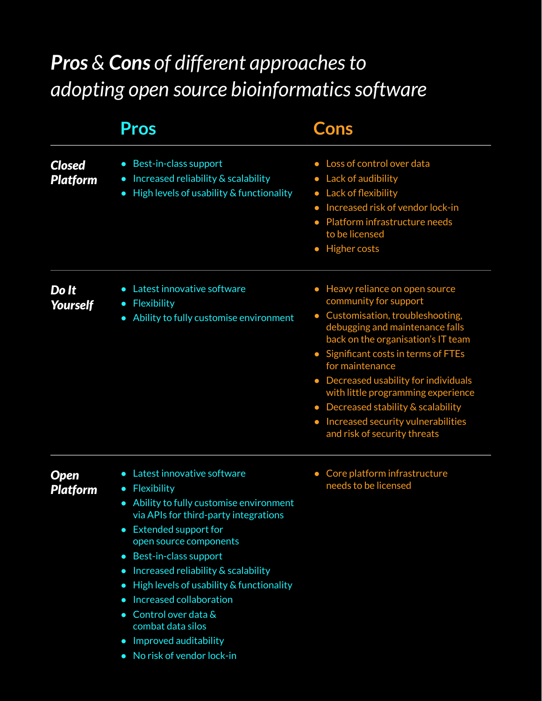## *Pros & Cons of different approaches to adopting open source bioinformatics software*

|                                  | <b>Pros</b>                                                                                                                                                                                                                                                                                                                                                                                                                                                                                                                                                                   | <b>Cons</b>                                                                                                                                                                                                                                                                                                                                                                                                                                           |
|----------------------------------|-------------------------------------------------------------------------------------------------------------------------------------------------------------------------------------------------------------------------------------------------------------------------------------------------------------------------------------------------------------------------------------------------------------------------------------------------------------------------------------------------------------------------------------------------------------------------------|-------------------------------------------------------------------------------------------------------------------------------------------------------------------------------------------------------------------------------------------------------------------------------------------------------------------------------------------------------------------------------------------------------------------------------------------------------|
| <b>Closed</b><br><b>Platform</b> | Best-in-class support<br>$\bullet$<br>Increased reliability & scalability<br>$\bullet$<br>High levels of usability & functionality<br>$\bullet$                                                                                                                                                                                                                                                                                                                                                                                                                               | Loss of control over data<br>• Lack of audibility<br>Lack of flexibility<br>$\bullet$<br>Increased risk of vendor lock-in<br>$\bullet$<br>Platform infrastructure needs<br>to be licensed<br><b>Higher costs</b><br>$\bullet$                                                                                                                                                                                                                         |
| Do It<br><b>Yourself</b>         | Latest innovative software<br>$\bullet$<br>Flexibility<br>$\bullet$<br>Ability to fully customise environment<br>$\bullet$                                                                                                                                                                                                                                                                                                                                                                                                                                                    | Heavy reliance on open source<br>$\bullet$<br>community for support<br>• Customisation, troubleshooting,<br>debugging and maintenance falls<br>back on the organisation's IT team<br>• Significant costs in terms of FTEs<br>for maintenance<br>• Decreased usability for individuals<br>with little programming experience<br>• Decreased stability & scalability<br>Increased security vulnerabilities<br>$\bullet$<br>and risk of security threats |
| Open<br><b>Platform</b>          | Latest innovative software<br>$\bullet$<br>Flexibility<br>$\bullet$<br>Ability to fully customise environment<br>$\bullet$<br>via APIs for third-party integrations<br><b>Extended support for</b><br>$\bullet$<br>open source components<br>Best-in-class support<br>$\bullet$<br>Increased reliability & scalability<br>$\bullet$<br>High levels of usability & functionality<br>$\bullet$<br>Increased collaboration<br>$\bullet$<br>Control over data &<br>$\bullet$<br>combat data silos<br>Improved auditability<br>$\bullet$<br>No risk of vendor lock-in<br>$\bullet$ | Core platform infrastructure<br>$\bullet$<br>needs to be licensed                                                                                                                                                                                                                                                                                                                                                                                     |